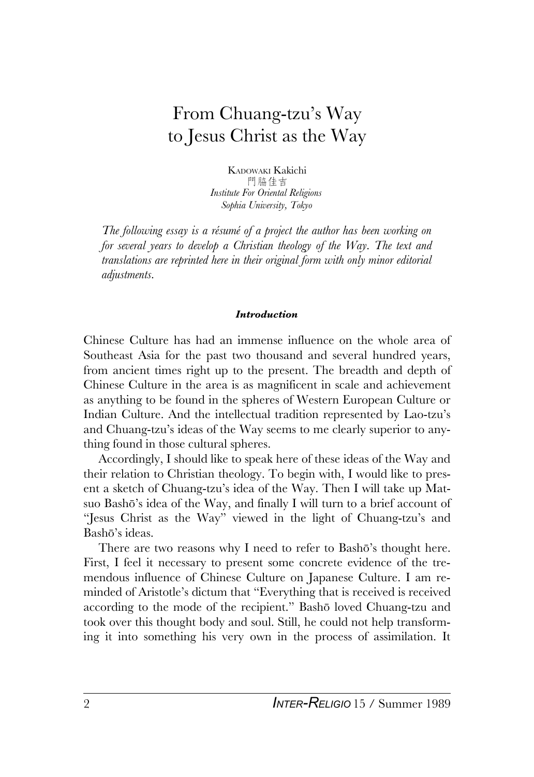# From Chuang-tzu's Way to Jesus Christ as the Way

KADOWAKI Kakichi 門脇佳吉 *Institute For Oriental Religions Sophia University, Tokyo*

*The following essay is a résumé of a project the author has been working on for several years to develop a Christian theology of the Way. The text and translations are reprinted here in their original form with only minor editorial adjustments.*

## *Introduction*

Chinese Culture has had an immense influence on the whole area of Southeast Asia for the past two thousand and several hundred years, from ancient times right up to the present. The breadth and depth of Chinese Culture in the area is as magnificent in scale and achievement as anything to be found in the spheres of Western European Culture or Indian Culture. And the intellectual tradition represented by Lao-tzu's and Chuang-tzu's ideas of the Way seems to me clearly superior to anything found in those cultural spheres.

Accordingly, I should like to speak here of these ideas of the Way and their relation to Christian theology. To begin with, I would like to present a sketch of Chuang-tzu's idea of the Way. Then I will take up Matsuo Bashõ's idea of the Way, and finally I will turn to a brief account of "Jesus Christ as the Way" viewed in the light of Chuang-tzu's and Bashõ's ideas.

There are two reasons why I need to refer to Bashõ's thought here. First, I feel it necessary to present some concrete evidence of the tremendous influence of Chinese Culture on Japanese Culture. I am reminded of Aristotle's dictum that "Everything that is received is received according to the mode of the recipient." Bashõ loved Chuang-tzu and took over this thought body and soul. Still, he could not help transforming it into something his very own in the process of assimilation. It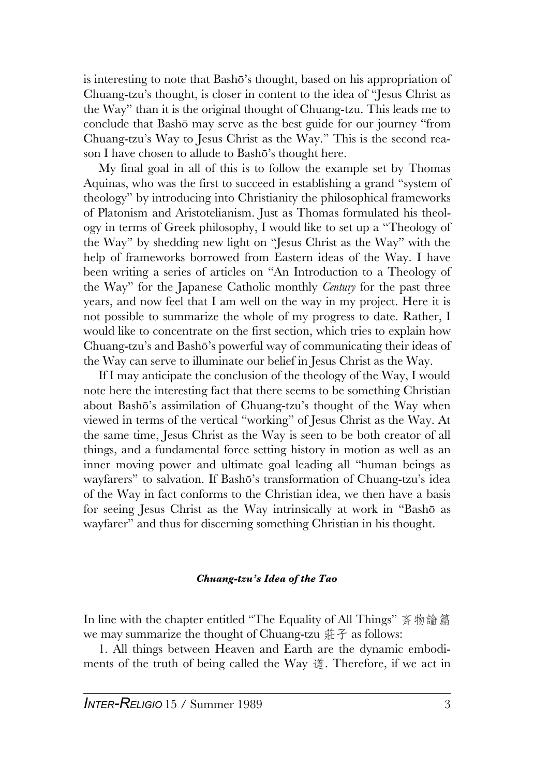is interesting to note that Bashõ's thought, based on his appropriation of Chuang-tzu's thought, is closer in content to the idea of "Jesus Christ as the Way" than it is the original thought of Chuang-tzu. This leads me to conclude that Bashõ may serve as the best guide for our journey "from Chuang-tzu's Way to Jesus Christ as the Way." This is the second reason I have chosen to allude to Bashõ's thought here.

My final goal in all of this is to follow the example set by Thomas Aquinas, who was the first to succeed in establishing a grand "system of theology" by introducing into Christianity the philosophical frameworks of Platonism and Aristotelianism. Just as Thomas formulated his theology in terms of Greek philosophy, I would like to set up a "Theology of the Way" by shedding new light on "Jesus Christ as the Way" with the help of frameworks borrowed from Eastern ideas of the Way. I have been writing a series of articles on "An Introduction to a Theology of the Way" for the Japanese Catholic monthly *Century* for the past three years, and now feel that I am well on the way in my project. Here it is not possible to summarize the whole of my progress to date. Rather, I would like to concentrate on the first section, which tries to explain how Chuang-tzu's and Bashõ's powerful way of communicating their ideas of the Way can serve to illuminate our belief in Jesus Christ as the Way.

If I may anticipate the conclusion of the theology of the Way, I would note here the interesting fact that there seems to be something Christian about Bashõ's assimilation of Chuang-tzu's thought of the Way when viewed in terms of the vertical "working" of Jesus Christ as the Way. At the same time, Jesus Christ as the Way is seen to be both creator of all things, and a fundamental force setting history in motion as well as an inner moving power and ultimate goal leading all "human beings as wayfarers" to salvation. If Bashõ's transformation of Chuang-tzu's idea of the Way in fact conforms to the Christian idea, we then have a basis for seeing Jesus Christ as the Way intrinsically at work in "Bashõ as wayfarer" and thus for discerning something Christian in his thought.

### *Chuang-tzu's Idea of the Tao*

In line with the chapter entitled "The Equality of All Things" 斉物論篇 we may summarize the thought of Chuang-tzu  $\#$   $\neq$  as follows:

1. All things between Heaven and Earth are the dynamic embodiments of the truth of being called the Way  $\ddot{\mathfrak{g}}$ . Therefore, if we act in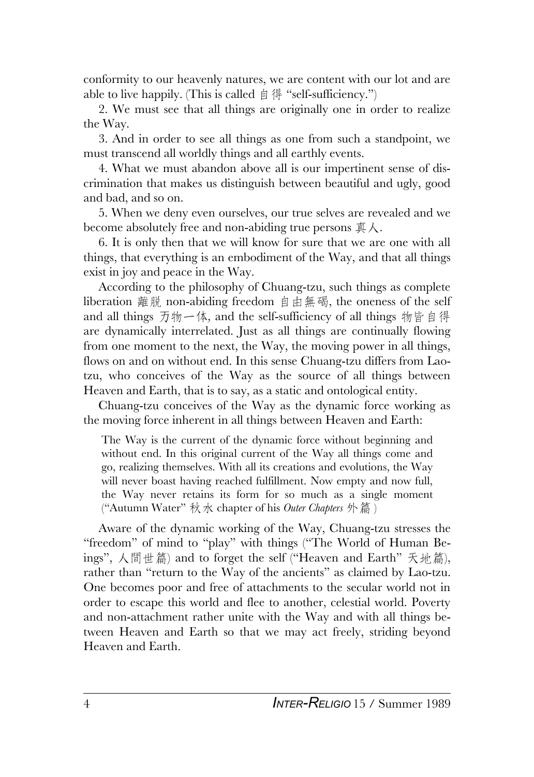conformity to our heavenly natures, we are content with our lot and are able to live happily. (This is called  $\beta \notin \text{``self-sufficiency."}$ )

2. We must see that all things are originally one in order to realize the Way.

3. And in order to see all things as one from such a standpoint, we must transcend all worldly things and all earthly events.

4. What we must abandon above all is our impertinent sense of discrimination that makes us distinguish between beautiful and ugly, good and bad, and so on.

5. When we deny even ourselves, our true selves are revealed and we become absolutely free and non-abiding true persons  $\overline{\text{F}} \wedge$ .

6. It is only then that we will know for sure that we are one with all things, that everything is an embodiment of the Way, and that all things exist in joy and peace in the Way.

According to the philosophy of Chuang-tzu, such things as complete liberation 離脱 non-abiding freedom 自由無碣, the oneness of the self and all things 万物一体, and the self-sufficiency of all things 物皆自得 are dynamically interrelated. Just as all things are continually flowing from one moment to the next, the Way, the moving power in all things, flows on and on without end. In this sense Chuang-tzu differs from Laotzu, who conceives of the Way as the source of all things between Heaven and Earth, that is to say, as a static and ontological entity.

Chuang-tzu conceives of the Way as the dynamic force working as the moving force inherent in all things between Heaven and Earth:

The Way is the current of the dynamic force without beginning and without end. In this original current of the Way all things come and go, realizing themselves. With all its creations and evolutions, the Way will never boast having reached fulfillment. Now empty and now full, the Way never retains its form for so much as a single moment ("Autumn Water" 秋水 chapter of his *Outer Chapters* 外篇)

Aware of the dynamic working of the Way, Chuang-tzu stresses the "freedom" of mind to "play" with things ("The World of Human Beings", 人間世篇) and to forget the self ("Heaven and Earth" 天地篇), rather than "return to the Way of the ancients" as claimed by Lao-tzu. One becomes poor and free of attachments to the secular world not in order to escape this world and flee to another, celestial world. Poverty and non-attachment rather unite with the Way and with all things between Heaven and Earth so that we may act freely, striding beyond Heaven and Earth.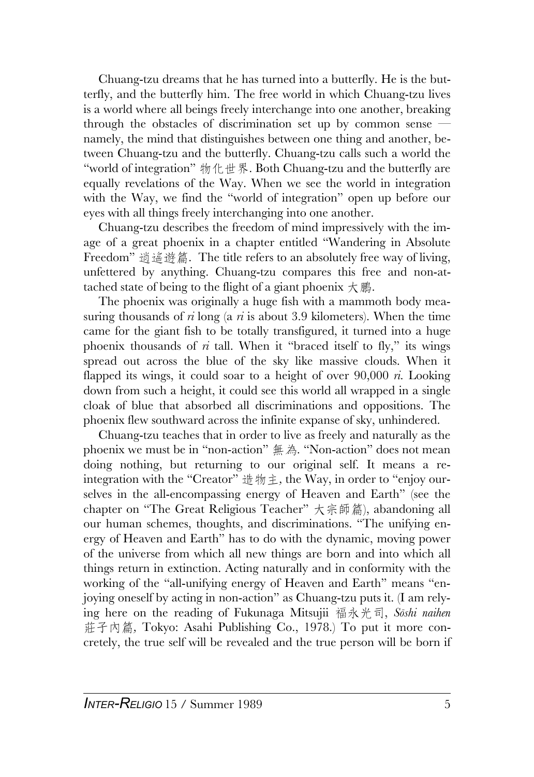Chuang-tzu dreams that he has turned into a butterfly. He is the butterfly, and the butterfly him. The free world in which Chuang-tzu lives is a world where all beings freely interchange into one another, breaking through the obstacles of discrimination set up by common sense namely, the mind that distinguishes between one thing and another, between Chuang-tzu and the butterfly. Chuang-tzu calls such a world the "world of integration"  $\frac{1}{2}$   $\frac{1}{2}$   $\frac{1}{2}$   $\frac{1}{2}$   $\frac{1}{2}$   $\frac{1}{2}$   $\frac{1}{2}$   $\frac{1}{2}$   $\frac{1}{2}$   $\frac{1}{2}$   $\frac{1}{2}$   $\frac{1}{2}$   $\frac{1}{2}$   $\frac{1}{2}$   $\frac{1}{2}$   $\frac{1}{2}$   $\frac{1}{2}$   $\frac{1}{2}$   $\frac{1}{2}$   $\frac{1}{2}$ equally revelations of the Way. When we see the world in integration with the Way, we find the "world of integration" open up before our eyes with all things freely interchanging into one another.

Chuang-tzu describes the freedom of mind impressively with the image of a great phoenix in a chapter entitled "Wandering in Absolute Freedom" 逍遙遊篇. The title refers to an absolutely free way of living, unfettered by anything. Chuang-tzu compares this free and non-attached state of being to the flight of a giant phoenix  $\overline{\mathcal{H}}$  .

The phoenix was originally a huge fish with a mammoth body measuring thousands of *ri* long (a *ri* is about 3.9 kilometers). When the time came for the giant fish to be totally transfigured, it turned into a huge phoenix thousands of  $\vec{n}$  tall. When it "braced itself to fly," its wings spread out across the blue of the sky like massive clouds. When it flapped its wings, it could soar to a height of over 90,000 *ri.* Looking down from such a height, it could see this world all wrapped in a single cloak of blue that absorbed all discriminations and oppositions. The phoenix flew southward across the infinite expanse of sky, unhindered.

Chuang-tzu teaches that in order to live as freely and naturally as the phoenix we must be in "non-action" 無為. "Non-action" does not mean doing nothing, but returning to our original self. It means a reintegration with the "Creator" 造物主, the Way, in order to "enjoy ourselves in the all-encompassing energy of Heaven and Earth" (see the chapter on "The Great Religious Teacher" 大宗師篇), abandoning all our human schemes, thoughts, and discriminations. "The unifying energy of Heaven and Earth" has to do with the dynamic, moving power of the universe from which all new things are born and into which all things return in extinction. Acting naturally and in conformity with the working of the "all-unifying energy of Heaven and Earth" means "enjoying oneself by acting in non-action" as Chuang-tzu puts it. (I am relying here on the reading of Fukunaga Mitsujii 福永光司, *Sōshi naihen* 莊子內篇, Tokyo: Asahi Publishing Co., 1978.) To put it more concretely, the true self will be revealed and the true person will be born if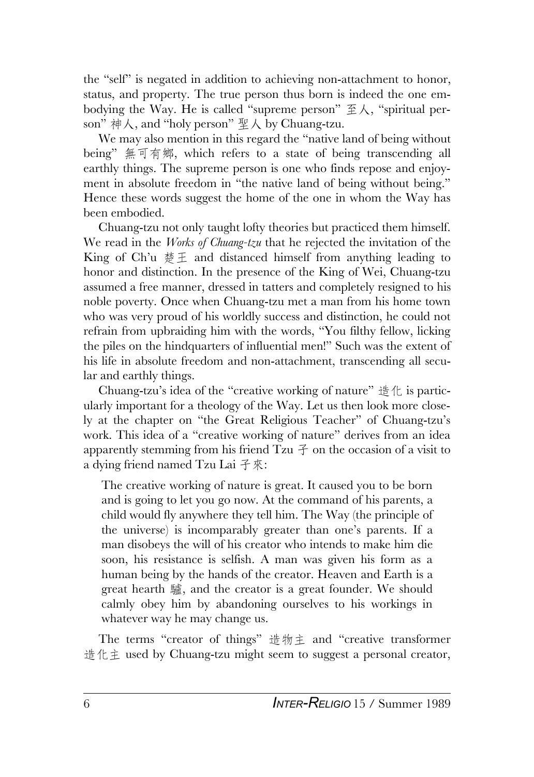the "self" is negated in addition to achieving non-attachment to honor, status, and property. The true person thus born is indeed the one embodying the Way. He is called "supreme person"  $\mathfrak{\tilde{E}}\lambda$ , "spiritual person"  $\#\lambda$ , and "holy person"  $\Psi\lambda$  by Chuang-tzu.

We may also mention in this regard the "native land of being without being" 無可有鄉, which refers to a state of being transcending all earthly things. The supreme person is one who finds repose and enjoyment in absolute freedom in "the native land of being without being." Hence these words suggest the home of the one in whom the Way has been embodied.

Chuang-tzu not only taught lofty theories but practiced them himself. We read in the *Works of Chuang-tzu* that he rejected the invitation of the King of Ch'u  $\# \pm$  and distanced himself from anything leading to honor and distinction. In the presence of the King of Wei, Chuang-tzu assumed a free manner, dressed in tatters and completely resigned to his noble poverty. Once when Chuang-tzu met a man from his home town who was very proud of his worldly success and distinction, he could not refrain from upbraiding him with the words, "You filthy fellow, licking the piles on the hindquarters of influential men!" Such was the extent of his life in absolute freedom and non-attachment, transcending all secular and earthly things.

Chuang-tzu's idea of the "creative working of nature"  $\#$   $\#$  is particularly important for a theology of the Way. Let us then look more closely at the chapter on "the Great Religious Teacher" of Chuang-tzu's work. This idea of a "creative working of nature" derives from an idea apparently stemming from his friend Tzu  $\tilde{\uparrow}$  on the occasion of a visit to a dying friend named Tzu Lai 子來:

The creative working of nature is great. It caused you to be born and is going to let you go now. At the command of his parents, a child would fly anywhere they tell him. The Way (the principle of the universe) is incomparably greater than one's parents. If a man disobeys the will of his creator who intends to make him die soon, his resistance is selfish. A man was given his form as a human being by the hands of the creator. Heaven and Earth is a great hearth 驢, and the creator is a great founder. We should calmly obey him by abandoning ourselves to his workings in whatever way he may change us.

The terms "creator of things" 造物主 and "creative transformer 造化主 used by Chuang-tzu might seem to suggest a personal creator,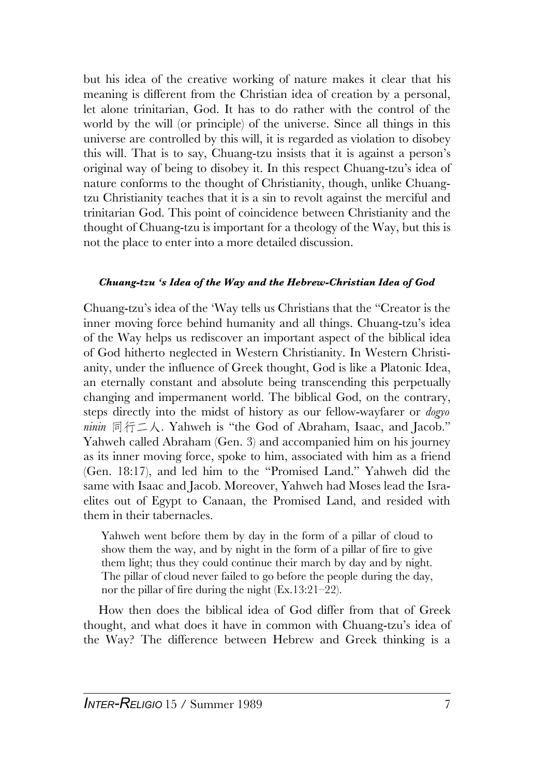but his idea of the creative working of nature makes it clear that his meaning is different from the Christian idea of creation by a personal, let alone trinitarian, God. It has to do rather with the control of the world by the will (or principle) of the universe. Since all things in this universe are controlled by this will, it is regarded as violation to disobey this will. That is to say, Chuang-tzu insists that it is against a person's original way of being to disobey it. In this respect Chuang-tzu's idea of nature conforms to the thought of Christianity, though, unlike Chuangtzu Christianity teaches that it is a sin to revolt against the merciful and trinitarian God. This point of coincidence between Christianity and the thought of Chuang-tzu is important for a theology of the Way, but this is not the place to enter into a more detailed discussion.

# *Chuang-tzu 's Idea of the Way and the Hebrew-Christian Idea of God*

Chuang-tzu's idea of the 'Way tells us Christians that the "Creator is the inner moving force behind humanity and all things. Chuang-tzu's idea of the Way helps us rediscover an important aspect of the biblical idea of God hitherto neglected in Western Christianity. In Western Christianity, under the influence of Greek thought, God is like a Platonic Idea, an eternally constant and absolute being transcending this perpetually changing and impermanent world. The biblical God, on the contrary, steps directly into the midst of history as our fellow-wayfarer or *dogyo ninin*  $\exists \mathcal{F} \subseteq \mathcal{K}$ . Yahweh is "the God of Abraham, Isaac, and Jacob." Yahweh called Abraham (Gen. 3) and accompanied him on his journey as its inner moving force, spoke to him, associated with him as a friend (Gen. 18:17), and led him to the "Promised Land." Yahweh did the same with Isaac and Jacob. Moreover, Yahweh had Moses lead the Israelites out of Egypt to Canaan, the Promised Land, and resided with them in their tabernacles.

Yahweh went before them by day in the form of a pillar of cloud to show them the way, and by night in the form of a pillar of fire to give them light; thus they could continue their march by day and by night. The pillar of cloud never failed to go before the people during the day, nor the pillar of fire during the night (Ex.13:21–22).

How then does the biblical idea of God differ from that of Greek thought, and what does it have in common with Chuang-tzu's idea of the Way? The difference between Hebrew and Greek thinking is a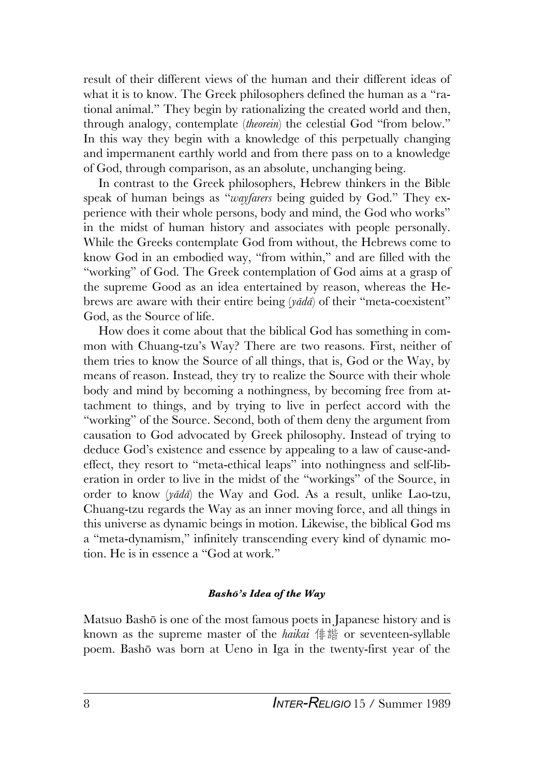result of their different views of the human and their different ideas of what it is to know. The Greek philosophers defined the human as a "rational animal." They begin by rationalizing the created world and then, through analogy, contemplate (*theorein*) the celestial God "from below." In this way they begin with a knowledge of this perpetually changing and impermanent earthly world and from there pass on to a knowledge of God, through comparison, as an absolute, unchanging being.

In contrast to the Greek philosophers, Hebrew thinkers in the Bible speak of human beings as "*wayfarers* being guided by God." They experience with their whole persons, body and mind, the God who works" in the midst of human history and associates with people personally. While the Greeks contemplate God from without, the Hebrews come to know God in an embodied way, "from within," and are filled with the "working" of God. The Greek contemplation of God aims at a grasp of the supreme Good as an idea entertained by reason, whereas the Hebrews are aware with their entire being (*yãdã*) of their "meta-coexistent" God, as the Source of life.

How does it come about that the biblical God has something in common with Chuang-tzu's Way? There are two reasons. First, neither of them tries to know the Source of all things, that is, God or the Way, by means of reason. Instead, they try to realize the Source with their whole body and mind by becoming a nothingness, by becoming free from attachment to things, and by trying to live in perfect accord with the "working" of the Source. Second, both of them deny the argument from causation to God advocated by Greek philosophy. Instead of trying to deduce God's existence and essence by appealing to a law of cause-andeffect, they resort to "meta-ethical leaps" into nothingness and self-liberation in order to live in the midst of the "workings" of the Source, in order to know (*yãdã*) the Way and God. As a result, unlike Lao-tzu, Chuang-tzu regards the Way as an inner moving force, and all things in this universe as dynamic beings in motion. Likewise, the biblical God ms a "meta-dynamism," infinitely transcending every kind of dynamic motion. He is in essence a "God at work."

# *Bashõ's Idea of the Way*

Matsuo Bashõ is one of the most famous poets in Japanese history and is known as the supreme master of the *haikai* 俳諧 or seventeen-syllable poem. Bashõ was born at Ueno in Iga in the twenty-first year of the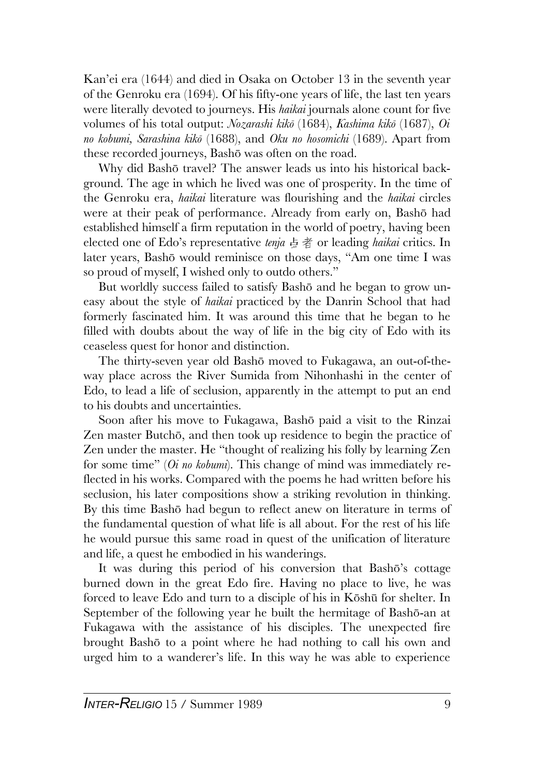Kan'ei era (1644) and died in Osaka on October 13 in the seventh year of the Genroku era (1694). Of his fifty-one years of life, the last ten years were literally devoted to journeys. His *haikai* journals alone count for five volumes of his total output: *Nozarashi kikõ* (1684), *Kashima kikõ* (1687), *Oi no kobumi, Sarashina kikõ* (1688), and *Oku no hosomichi* (1689). Apart from these recorded journeys, Bashõ was often on the road.

Why did Bashõ travel? The answer leads us into his historical background. The age in which he lived was one of prosperity. In the time of the Genroku era, *haikai* literature was flourishing and the *haikai* circles were at their peak of performance. Already from early on, Bashõ had established himself a firm reputation in the world of poetry, having been elected one of Edo's representative *tenja* 点者 or leading *haikai* critics. In later years, Bashõ would reminisce on those days, "Am one time I was so proud of myself, I wished only to outdo others."

But worldly success failed to satisfy Bashõ and he began to grow uneasy about the style of *haikai* practiced by the Danrin School that had formerly fascinated him. It was around this time that he began to he filled with doubts about the way of life in the big city of Edo with its ceaseless quest for honor and distinction.

The thirty-seven year old Bashõ moved to Fukagawa, an out-of-theway place across the River Sumida from Nihonhashi in the center of Edo, to lead a life of seclusion, apparently in the attempt to put an end to his doubts and uncertainties.

Soon after his move to Fukagawa, Bashõ paid a visit to the Rinzai Zen master Butchõ, and then took up residence to begin the practice of Zen under the master. He "thought of realizing his folly by learning Zen for some time" (*Oi no kobumi*). This change of mind was immediately reflected in his works. Compared with the poems he had written before his seclusion, his later compositions show a striking revolution in thinking. By this time Bashõ had begun to reflect anew on literature in terms of the fundamental question of what life is all about. For the rest of his life he would pursue this same road in quest of the unification of literature and life, a quest he embodied in his wanderings.

It was during this period of his conversion that Bashõ's cottage burned down in the great Edo fire. Having no place to live, he was forced to leave Edo and turn to a disciple of his in Kõshû for shelter. In September of the following year he built the hermitage of Bashõ-an at Fukagawa with the assistance of his disciples. The unexpected fire brought Bashõ to a point where he had nothing to call his own and urged him to a wanderer's life. In this way he was able to experience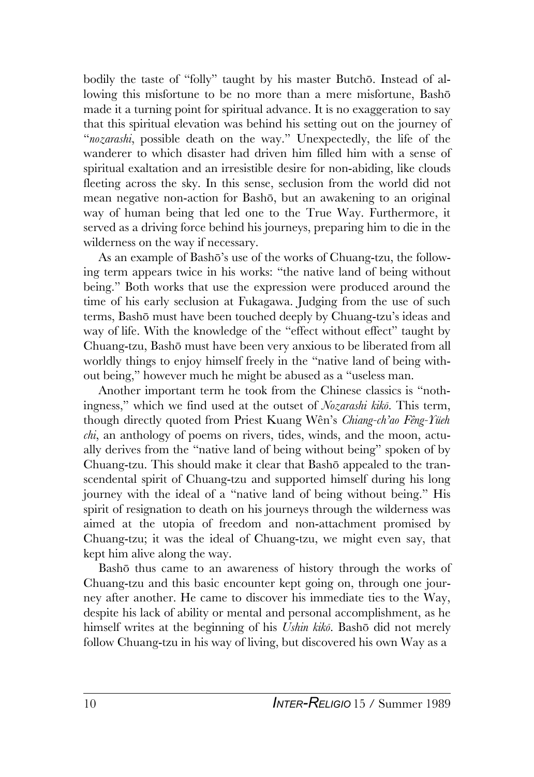bodily the taste of "folly" taught by his master Butchõ. Instead of allowing this misfortune to be no more than a mere misfortune, Bashõ made it a turning point for spiritual advance. It is no exaggeration to say that this spiritual elevation was behind his setting out on the journey of "*nozarashi*, possible death on the way." Unexpectedly, the life of the wanderer to which disaster had driven him filled him with a sense of spiritual exaltation and an irresistible desire for non-abiding, like clouds fleeting across the sky. In this sense, seclusion from the world did not mean negative non-action for Bashõ, but an awakening to an original way of human being that led one to the True Way. Furthermore, it served as a driving force behind his journeys, preparing him to die in the wilderness on the way if necessary.

As an example of Bashõ's use of the works of Chuang-tzu, the following term appears twice in his works: "the native land of being without being." Both works that use the expression were produced around the time of his early seclusion at Fukagawa. Judging from the use of such terms, Bashõ must have been touched deeply by Chuang-tzu's ideas and way of life. With the knowledge of the "effect without effect" taught by Chuang-tzu, Bashõ must have been very anxious to be liberated from all worldly things to enjoy himself freely in the "native land of being without being," however much he might be abused as a "useless man.

Another important term he took from the Chinese classics is "nothingness," which we find used at the outset of *Nozarashi kikõ*. This term, though directly quoted from Priest Kuang Wên's *Chiang-ch'ao Fêng-Yüeh chi*, an anthology of poems on rivers, tides, winds, and the moon, actually derives from the "native land of being without being" spoken of by Chuang-tzu. This should make it clear that Bashõ appealed to the transcendental spirit of Chuang-tzu and supported himself during his long journey with the ideal of a "native land of being without being." His spirit of resignation to death on his journeys through the wilderness was aimed at the utopia of freedom and non-attachment promised by Chuang-tzu; it was the ideal of Chuang-tzu, we might even say, that kept him alive along the way.

Bashõ thus came to an awareness of history through the works of Chuang-tzu and this basic encounter kept going on, through one journey after another. He came to discover his immediate ties to the Way, despite his lack of ability or mental and personal accomplishment, as he himself writes at the beginning of his *Ushin kikõ*. Bashõ did not merely follow Chuang-tzu in his way of living, but discovered his own Way as a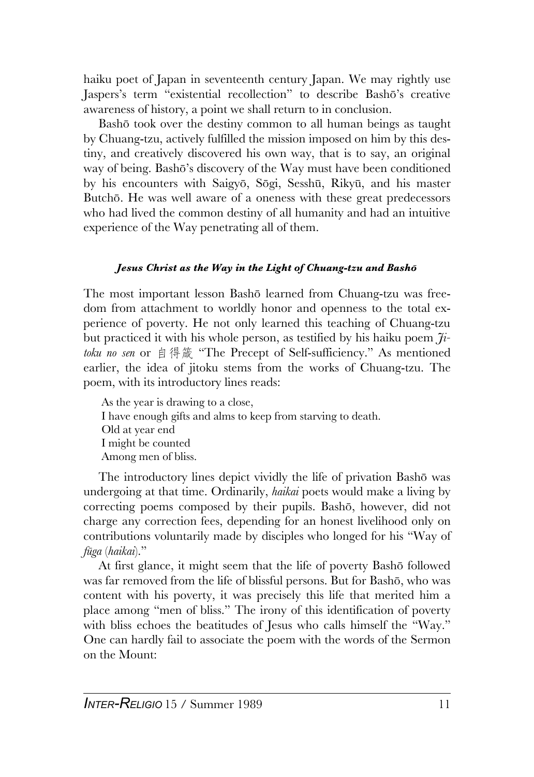haiku poet of Japan in seventeenth century Japan. We may rightly use Jaspers's term "existential recollection" to describe Bashõ's creative awareness of history, a point we shall return to in conclusion.

Bashõ took over the destiny common to all human beings as taught by Chuang-tzu, actively fulfilled the mission imposed on him by this destiny, and creatively discovered his own way, that is to say, an original way of being. Bashõ's discovery of the Way must have been conditioned by his encounters with Saigyõ, Sõgi, Sesshû, Rikyû, and his master Butchõ. He was well aware of a oneness with these great predecessors who had lived the common destiny of all humanity and had an intuitive experience of the Way penetrating all of them.

# *Jesus Christ as the Way in the Light of Chuang-tzu and Bashõ*

The most important lesson Bashõ learned from Chuang-tzu was freedom from attachment to worldly honor and openness to the total experience of poverty. He not only learned this teaching of Chuang-tzu but practiced it with his whole person, as testified by his haiku poem *Jitoku no sen* or 自得箴 "The Precept of Self-sufficiency." As mentioned earlier, the idea of jitoku stems from the works of Chuang-tzu. The poem, with its introductory lines reads:

As the year is drawing to a close, I have enough gifts and alms to keep from starving to death. Old at year end I might be counted Among men of bliss.

The introductory lines depict vividly the life of privation Bashõ was undergoing at that time. Ordinarily, *haikai* poets would make a living by correcting poems composed by their pupils. Bashõ, however, did not charge any correction fees, depending for an honest livelihood only on contributions voluntarily made by disciples who longed for his "Way of *fûga* (*haikai*)."

At first glance, it might seem that the life of poverty Bashõ followed was far removed from the life of blissful persons. But for Bashõ, who was content with his poverty, it was precisely this life that merited him a place among "men of bliss." The irony of this identification of poverty with bliss echoes the beatitudes of Jesus who calls himself the "Way." One can hardly fail to associate the poem with the words of the Sermon on the Mount: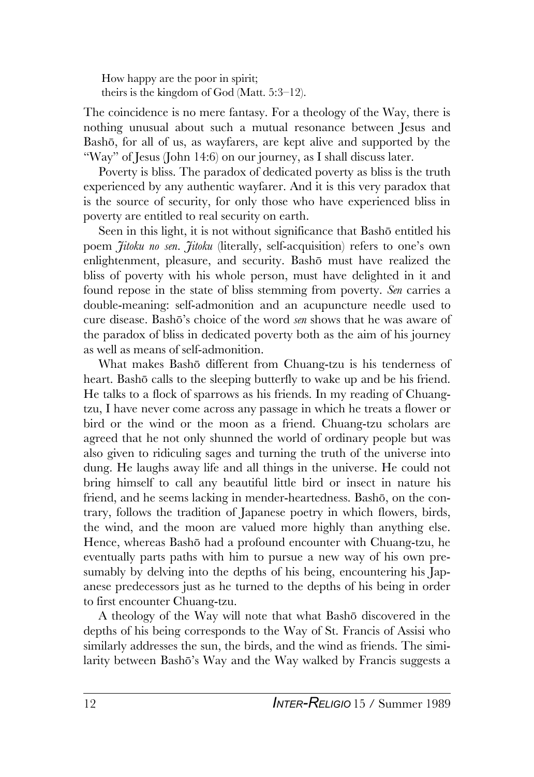How happy are the poor in spirit; theirs is the kingdom of God (Matt. 5:3–12).

The coincidence is no mere fantasy. For a theology of the Way, there is nothing unusual about such a mutual resonance between Jesus and Bashõ, for all of us, as wayfarers, are kept alive and supported by the "Way" of Jesus (John 14:6) on our journey, as I shall discuss later.

Poverty is bliss. The paradox of dedicated poverty as bliss is the truth experienced by any authentic wayfarer. And it is this very paradox that is the source of security, for only those who have experienced bliss in poverty are entitled to real security on earth.

Seen in this light, it is not without significance that Bashõ entitled his poem *Jitoku no sen*. *Jitoku* (literally, self-acquisition) refers to one's own enlightenment, pleasure, and security. Bashõ must have realized the bliss of poverty with his whole person, must have delighted in it and found repose in the state of bliss stemming from poverty. *Sen* carries a double-meaning: self-admonition and an acupuncture needle used to cure disease. Bashõ's choice of the word *sen* shows that he was aware of the paradox of bliss in dedicated poverty both as the aim of his journey as well as means of self-admonition.

What makes Bashõ different from Chuang-tzu is his tenderness of heart. Bashõ calls to the sleeping butterfly to wake up and be his friend. He talks to a flock of sparrows as his friends. In my reading of Chuangtzu, I have never come across any passage in which he treats a flower or bird or the wind or the moon as a friend. Chuang-tzu scholars are agreed that he not only shunned the world of ordinary people but was also given to ridiculing sages and turning the truth of the universe into dung. He laughs away life and all things in the universe. He could not bring himself to call any beautiful little bird or insect in nature his friend, and he seems lacking in mender-heartedness. Bashõ, on the contrary, follows the tradition of Japanese poetry in which flowers, birds, the wind, and the moon are valued more highly than anything else. Hence, whereas Bashõ had a profound encounter with Chuang-tzu, he eventually parts paths with him to pursue a new way of his own presumably by delving into the depths of his being, encountering his Japanese predecessors just as he turned to the depths of his being in order to first encounter Chuang-tzu.

A theology of the Way will note that what Bashõ discovered in the depths of his being corresponds to the Way of St. Francis of Assisi who similarly addresses the sun, the birds, and the wind as friends. The similarity between Bashõ's Way and the Way walked by Francis suggests a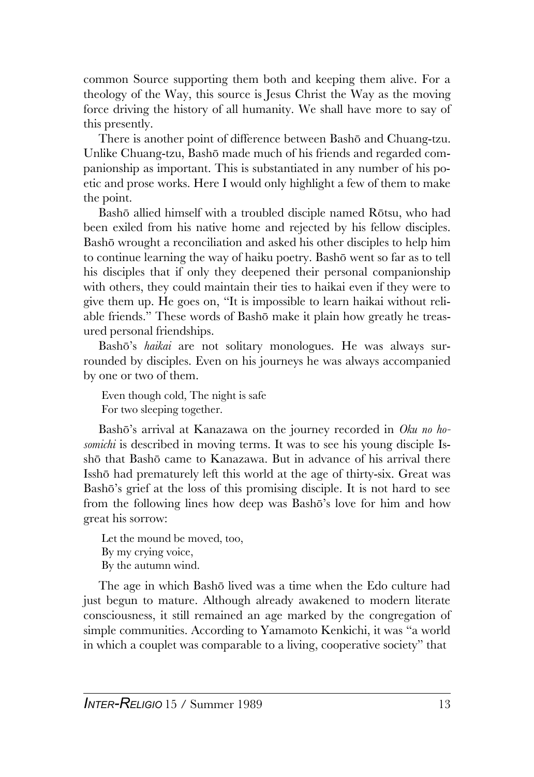common Source supporting them both and keeping them alive. For a theology of the Way, this source is Jesus Christ the Way as the moving force driving the history of all humanity. We shall have more to say of this presently.

There is another point of difference between Bashõ and Chuang-tzu. Unlike Chuang-tzu, Bashõ made much of his friends and regarded companionship as important. This is substantiated in any number of his poetic and prose works. Here I would only highlight a few of them to make the point.

Bashõ allied himself with a troubled disciple named Rõtsu, who had been exiled from his native home and rejected by his fellow disciples. Bashõ wrought a reconciliation and asked his other disciples to help him to continue learning the way of haiku poetry. Bashõ went so far as to tell his disciples that if only they deepened their personal companionship with others, they could maintain their ties to haikai even if they were to give them up. He goes on, "It is impossible to learn haikai without reliable friends." These words of Bashõ make it plain how greatly he treasured personal friendships.

Bashõ's *haikai* are not solitary monologues. He was always surrounded by disciples. Even on his journeys he was always accompanied by one or two of them.

Even though cold, The night is safe For two sleeping together.

Bashõ's arrival at Kanazawa on the journey recorded in *Oku no hosomichi* is described in moving terms. It was to see his young disciple Isshõ that Bashõ came to Kanazawa. But in advance of his arrival there Isshõ had prematurely left this world at the age of thirty-six. Great was Bashõ's grief at the loss of this promising disciple. It is not hard to see from the following lines how deep was Bashõ's love for him and how great his sorrow:

Let the mound be moved, too, By my crying voice, By the autumn wind.

The age in which Bashõ lived was a time when the Edo culture had just begun to mature. Although already awakened to modern literate consciousness, it still remained an age marked by the congregation of simple communities. According to Yamamoto Kenkichi, it was "a world in which a couplet was comparable to a living, cooperative society" that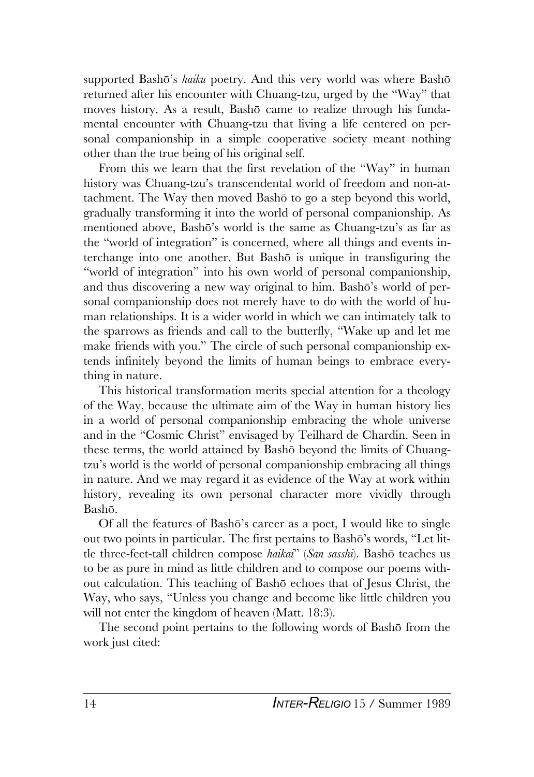supported Bashõ's *haiku* poetry. And this very world was where Bashõ returned after his encounter with Chuang-tzu, urged by the "Way" that moves history. As a result, Bashõ came to realize through his fundamental encounter with Chuang-tzu that living a life centered on personal companionship in a simple cooperative society meant nothing other than the true being of his original self.

From this we learn that the first revelation of the "Way" in human history was Chuang-tzu's transcendental world of freedom and non-attachment. The Way then moved Bashõ to go a step beyond this world, gradually transforming it into the world of personal companionship. As mentioned above, Bashõ's world is the same as Chuang-tzu's as far as the "world of integration" is concerned, where all things and events interchange into one another. But Bashõ is unique in transfiguring the "world of integration" into his own world of personal companionship, and thus discovering a new way original to him. Bashõ's world of personal companionship does not merely have to do with the world of human relationships. It is a wider world in which we can intimately talk to the sparrows as friends and call to the butterfly, "Wake up and let me make friends with you." The circle of such personal companionship extends infinitely beyond the limits of human beings to embrace everything in nature.

This historical transformation merits special attention for a theology of the Way, because the ultimate aim of the Way in human history lies in a world of personal companionship embracing the whole universe and in the "Cosmic Christ" envisaged by Teilhard de Chardin. Seen in these terms, the world attained by Bashõ beyond the limits of Chuangtzu's world is the world of personal companionship embracing all things in nature. And we may regard it as evidence of the Way at work within history, revealing its own personal character more vividly through Bashõ.

Of all the features of Bashõ's career as a poet, I would like to single out two points in particular. The first pertains to Bashõ's words, "Let little three-feet-tall children compose *haikai*" (*San sasshi*). Bashõ teaches us to be as pure in mind as little children and to compose our poems without calculation. This teaching of Bashõ echoes that of Jesus Christ, the Way, who says, "Unless you change and become like little children you will not enter the kingdom of heaven (Matt. 18:3).

The second point pertains to the following words of Bashõ from the work just cited: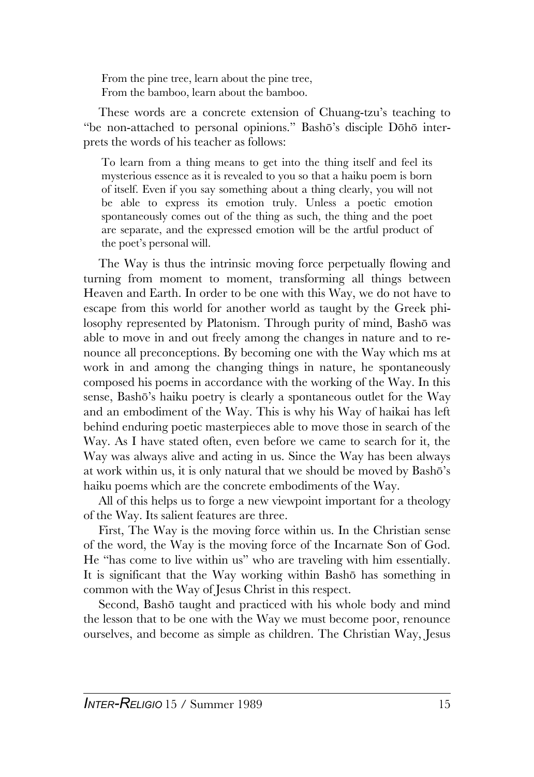From the pine tree, learn about the pine tree, From the bamboo, learn about the bamboo.

These words are a concrete extension of Chuang-tzu's teaching to "be non-attached to personal opinions." Bashõ's disciple Dõhõ interprets the words of his teacher as follows:

To learn from a thing means to get into the thing itself and feel its mysterious essence as it is revealed to you so that a haiku poem is born of itself. Even if you say something about a thing clearly, you will not be able to express its emotion truly. Unless a poetic emotion spontaneously comes out of the thing as such, the thing and the poet are separate, and the expressed emotion will be the artful product of the poet's personal will.

The Way is thus the intrinsic moving force perpetually flowing and turning from moment to moment, transforming all things between Heaven and Earth. In order to be one with this Way, we do not have to escape from this world for another world as taught by the Greek philosophy represented by Platonism. Through purity of mind, Bashõ was able to move in and out freely among the changes in nature and to renounce all preconceptions. By becoming one with the Way which ms at work in and among the changing things in nature, he spontaneously composed his poems in accordance with the working of the Way. In this sense, Bashõ's haiku poetry is clearly a spontaneous outlet for the Way and an embodiment of the Way. This is why his Way of haikai has left behind enduring poetic masterpieces able to move those in search of the Way. As I have stated often, even before we came to search for it, the Way was always alive and acting in us. Since the Way has been always at work within us, it is only natural that we should be moved by Bashõ's haiku poems which are the concrete embodiments of the Way.

All of this helps us to forge a new viewpoint important for a theology of the Way. Its salient features are three.

First, The Way is the moving force within us. In the Christian sense of the word, the Way is the moving force of the Incarnate Son of God. He "has come to live within us" who are traveling with him essentially. It is significant that the Way working within Bashõ has something in common with the Way of Jesus Christ in this respect.

Second, Bashõ taught and practiced with his whole body and mind the lesson that to be one with the Way we must become poor, renounce ourselves, and become as simple as children. The Christian Way, Jesus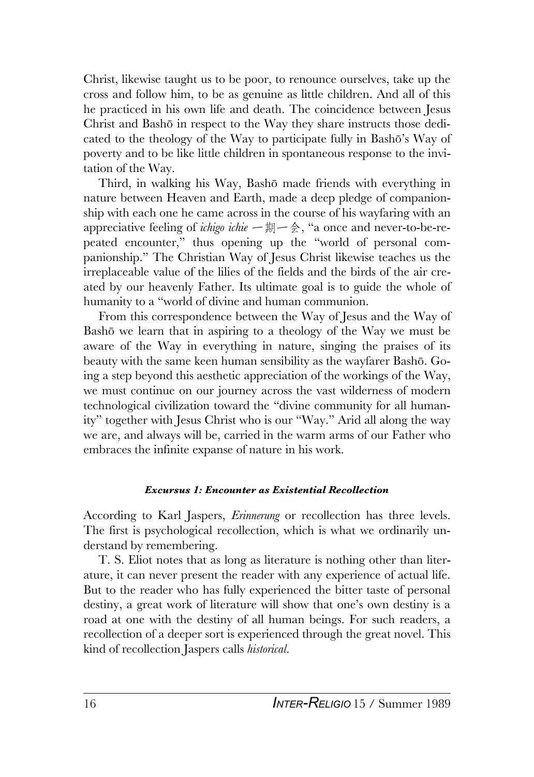Christ, likewise taught us to be poor, to renounce ourselves, take up the cross and follow him, to be as genuine as little children. And all of this he practiced in his own life and death. The coincidence between Jesus Christ and Bashõ in respect to the Way they share instructs those dedicated to the theology of the Way to participate fully in Bashõ's Way of poverty and to be like little children in spontaneous response to the invitation of the Way.

Third, in walking his Way, Bashõ made friends with everything in nature between Heaven and Earth, made a deep pledge of companionship with each one he came across in the course of his wayfaring with an appreciative feeling of *ichigo ichie* 一期一会, "a once and never-to-be-repeated encounter," thus opening up the "world of personal companionship." The Christian Way of Jesus Christ likewise teaches us the irreplaceable value of the lilies of the fields and the birds of the air created by our heavenly Father. Its ultimate goal is to guide the whole of humanity to a "world of divine and human communion.

From this correspondence between the Way of Jesus and the Way of Bashõ we learn that in aspiring to a theology of the Way we must be aware of the Way in everything in nature, singing the praises of its beauty with the same keen human sensibility as the wayfarer Bashõ. Going a step beyond this aesthetic appreciation of the workings of the Way, we must continue on our journey across the vast wilderness of modern technological civilization toward the "divine community for all humanity" together with Jesus Christ who is our "Way." Arid all along the way we are, and always will be, carried in the warm arms of our Father who embraces the infinite expanse of nature in his work.

#### *Excursus 1: Encounter as Existential Recollection*

According to Karl Jaspers, *Erinnerung* or recollection has three levels. The first is psychological recollection, which is what we ordinarily understand by remembering.

T. S. Eliot notes that as long as literature is nothing other than literature, it can never present the reader with any experience of actual life. But to the reader who has fully experienced the bitter taste of personal destiny, a great work of literature will show that one's own destiny is a road at one with the destiny of all human beings. For such readers, a recollection of a deeper sort is experienced through the great novel. This kind of recollection Jaspers calls *historical*.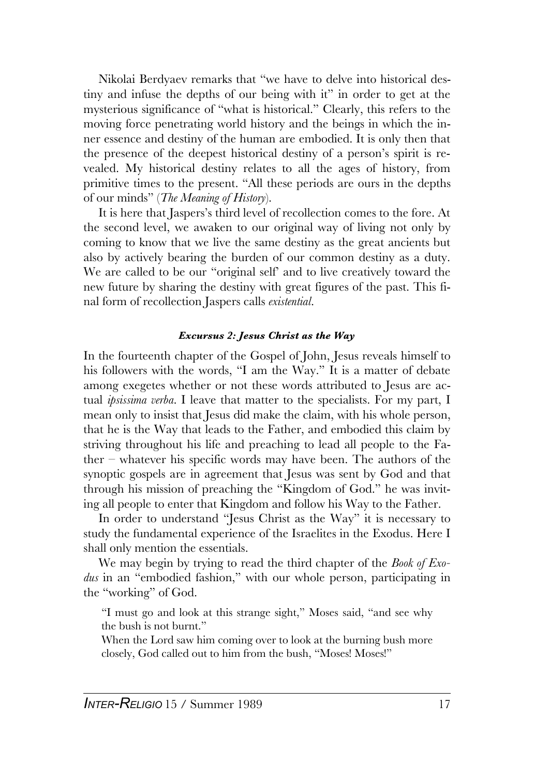Nikolai Berdyaev remarks that "we have to delve into historical destiny and infuse the depths of our being with it" in order to get at the mysterious significance of "what is historical." Clearly, this refers to the moving force penetrating world history and the beings in which the inner essence and destiny of the human are embodied. It is only then that the presence of the deepest historical destiny of a person's spirit is revealed. My historical destiny relates to all the ages of history, from primitive times to the present. "All these periods are ours in the depths of our minds" (*The Meaning of History*).

It is here that Jaspers's third level of recollection comes to the fore. At the second level, we awaken to our original way of living not only by coming to know that we live the same destiny as the great ancients but also by actively bearing the burden of our common destiny as a duty. We are called to be our "original self' and to live creatively toward the new future by sharing the destiny with great figures of the past. This final form of recollection Jaspers calls *existential*.

## *Excursus 2: Jesus Christ as the Way*

In the fourteenth chapter of the Gospel of John, Jesus reveals himself to his followers with the words, "I am the Way." It is a matter of debate among exegetes whether or not these words attributed to Jesus are actual *ipsissima verba*. I leave that matter to the specialists. For my part, I mean only to insist that Jesus did make the claim, with his whole person, that he is the Way that leads to the Father, and embodied this claim by striving throughout his life and preaching to lead all people to the Father – whatever his specific words may have been. The authors of the synoptic gospels are in agreement that Jesus was sent by God and that through his mission of preaching the "Kingdom of God." he was inviting all people to enter that Kingdom and follow his Way to the Father.

In order to understand "Jesus Christ as the Way" it is necessary to study the fundamental experience of the Israelites in the Exodus. Here I shall only mention the essentials.

We may begin by trying to read the third chapter of the *Book of Exodus* in an "embodied fashion," with our whole person, participating in the "working" of God.

"I must go and look at this strange sight," Moses said, "and see why the bush is not burnt."

When the Lord saw him coming over to look at the burning bush more closely, God called out to him from the bush, "Moses! Moses!"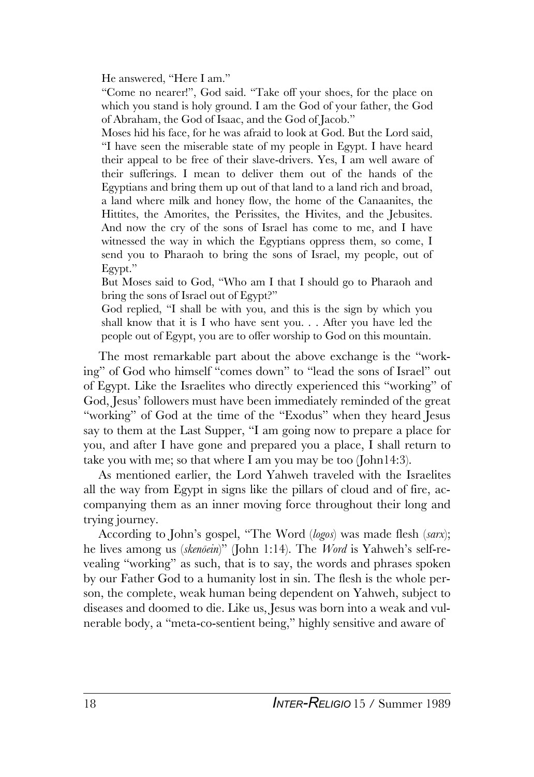He answered, "Here I am."

"Come no nearer!", God said. "Take off your shoes, for the place on which you stand is holy ground. I am the God of your father, the God of Abraham, the God of Isaac, and the God of Jacob."

Moses hid his face, for he was afraid to look at God. But the Lord said, "I have seen the miserable state of my people in Egypt. I have heard their appeal to be free of their slave-drivers. Yes, I am well aware of their sufferings. I mean to deliver them out of the hands of the Egyptians and bring them up out of that land to a land rich and broad, a land where milk and honey flow, the home of the Canaanites, the Hittites, the Amorites, the Perissites, the Hivites, and the Jebusites. And now the cry of the sons of Israel has come to me, and I have witnessed the way in which the Egyptians oppress them, so come, I send you to Pharaoh to bring the sons of Israel, my people, out of Egypt."

But Moses said to God, "Who am I that I should go to Pharaoh and bring the sons of Israel out of Egypt?"

God replied, "I shall be with you, and this is the sign by which you shall know that it is I who have sent you. . . After you have led the people out of Egypt, you are to offer worship to God on this mountain.

The most remarkable part about the above exchange is the "working" of God who himself "comes down" to "lead the sons of Israel" out of Egypt. Like the Israelites who directly experienced this "working" of God, Jesus' followers must have been immediately reminded of the great "working" of God at the time of the "Exodus" when they heard Jesus say to them at the Last Supper, "I am going now to prepare a place for you, and after I have gone and prepared you a place, I shall return to take you with me; so that where I am you may be too (John14:3).

As mentioned earlier, the Lord Yahweh traveled with the Israelites all the way from Egypt in signs like the pillars of cloud and of fire, accompanying them as an inner moving force throughout their long and trying journey.

According to John's gospel, "The Word (*logos*) was made flesh (*sarx*); he lives among us (*skenõein*)" (John 1:14). The *Word* is Yahweh's self-revealing "working" as such, that is to say, the words and phrases spoken by our Father God to a humanity lost in sin. The flesh is the whole person, the complete, weak human being dependent on Yahweh, subject to diseases and doomed to die. Like us, Jesus was born into a weak and vulnerable body, a "meta-co-sentient being," highly sensitive and aware of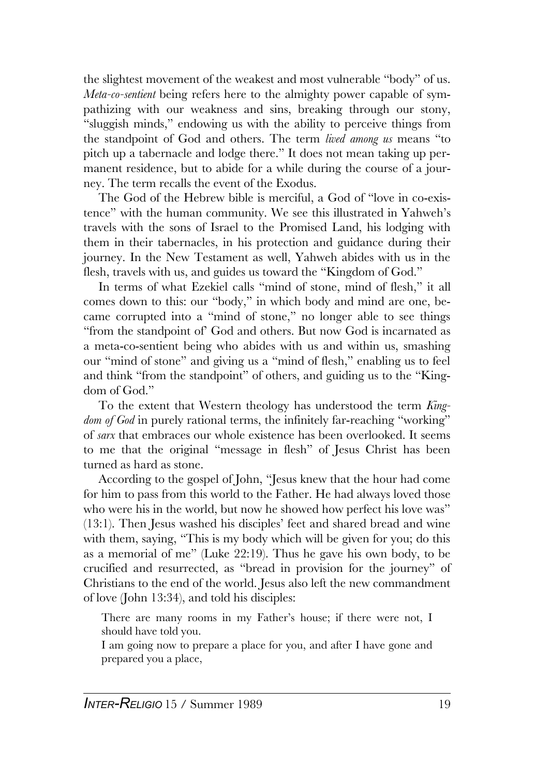the slightest movement of the weakest and most vulnerable "body" of us. *Meta-co-sentient* being refers here to the almighty power capable of sympathizing with our weakness and sins, breaking through our stony, "sluggish minds," endowing us with the ability to perceive things from the standpoint of God and others. The term *lived among us* means "to pitch up a tabernacle and lodge there." It does not mean taking up permanent residence, but to abide for a while during the course of a journey. The term recalls the event of the Exodus.

The God of the Hebrew bible is merciful, a God of "love in co-existence" with the human community. We see this illustrated in Yahweh's travels with the sons of Israel to the Promised Land, his lodging with them in their tabernacles, in his protection and guidance during their journey. In the New Testament as well, Yahweh abides with us in the flesh, travels with us, and guides us toward the "Kingdom of God."

In terms of what Ezekiel calls "mind of stone, mind of flesh," it all comes down to this: our "body," in which body and mind are one, became corrupted into a "mind of stone," no longer able to see things "from the standpoint of' God and others. But now God is incarnated as a meta-co-sentient being who abides with us and within us, smashing our "mind of stone" and giving us a "mind of flesh," enabling us to feel and think "from the standpoint" of others, and guiding us to the "Kingdom of God."

To the extent that Western theology has understood the term *Kingdom of God* in purely rational terms, the infinitely far-reaching "working" of *sarx* that embraces our whole existence has been overlooked. It seems to me that the original "message in flesh" of Jesus Christ has been turned as hard as stone.

According to the gospel of John, "Jesus knew that the hour had come for him to pass from this world to the Father. He had always loved those who were his in the world, but now he showed how perfect his love was" (13:1). Then Jesus washed his disciples' feet and shared bread and wine with them, saying, "This is my body which will be given for you; do this as a memorial of me" (Luke 22:19). Thus he gave his own body, to be crucified and resurrected, as "bread in provision for the journey" of Christians to the end of the world. Jesus also left the new commandment of love (John 13:34), and told his disciples:

There are many rooms in my Father's house; if there were not, I should have told you.

I am going now to prepare a place for you, and after I have gone and prepared you a place,